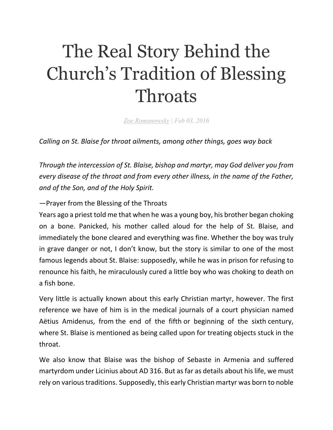## The Real Story Behind the Church's Tradition of Blessing **Throats**

*Zoe Romanowsky | Feb 03, 2016*

*Calling on St. Blaise for throat ailments, among other things, goes way back* 

*Through the intercession of St. Blaise, bishop and martyr, may God deliver you from every disease of the throat and from every other illness, in the name of the Father, and of the Son, and of the Holy Spirit.*

—Prayer from the Blessing of the Throats

Years ago a priest told me that when he was a young boy, his brother began choking on a bone. Panicked, his mother called aloud for the help of St. Blaise, and immediately the bone cleared and everything was fine. Whether the boy was truly in grave danger or not, I don't know, but the story is similar to one of the most famous legends about St. Blaise: supposedly, while he was in prison for refusing to renounce his faith, he miraculously cured a little boy who was choking to death on a fish bone.

Very little is actually known about this early Christian martyr, however. The first reference we have of him is in the medical journals of a court physician named Aëtius Amidenus, from the end of the fifth or beginning of the sixth century, where St. Blaise is mentioned as being called upon for treating objects stuck in the throat.

We also know that Blaise was the bishop of Sebaste in Armenia and suffered martyrdom under Licinius about AD 316. But as far as details about his life, we must rely on various traditions. Supposedly, this early Christian martyr was born to noble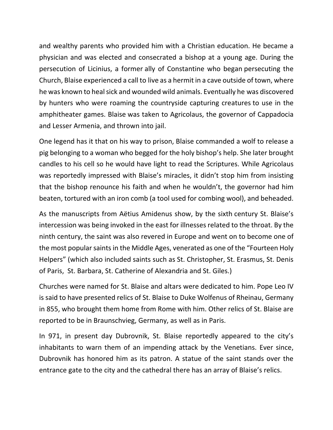and wealthy parents who provided him with a Christian education. He became a physician and was elected and consecrated a bishop at a young age. During the persecution of Licinius, a former ally of Constantine who began persecuting the Church, Blaise experienced a call to live as a hermit in a cave outside of town, where he was known to heal sick and wounded wild animals. Eventually he was discovered by hunters who were roaming the countryside capturing creatures to use in the amphitheater games. Blaise was taken to Agricolaus, the governor of Cappadocia and Lesser Armenia, and thrown into jail.

One legend has it that on his way to prison, Blaise commanded a wolf to release a pig belonging to a woman who begged for the holy bishop's help. She later brought candles to his cell so he would have light to read the Scriptures. While Agricolaus was reportedly impressed with Blaise's miracles, it didn't stop him from insisting that the bishop renounce his faith and when he wouldn't, the governor had him beaten, tortured with an iron comb (a tool used for combing wool), and beheaded.

As the manuscripts from Aëtius Amidenus show, by the sixth century St. Blaise's intercession was being invoked in the east for illnesses related to the throat. By the ninth century, the saint was also revered in Europe and went on to become one of the most popular saints in the Middle Ages, venerated as one of the "Fourteen Holy Helpers" (which also included saints such as St. Christopher, St. Erasmus, St. Denis of Paris, St. Barbara, St. Catherine of Alexandria and St. Giles.)

Churches were named for St. Blaise and altars were dedicated to him. Pope Leo IV is said to have presented relics of St. Blaise to Duke Wolfenus of Rheinau, Germany in 855, who brought them home from Rome with him. Other relics of St. Blaise are reported to be in Braunschvieg, Germany, as well as in Paris.

In 971, in present day Dubrovnik, St. Blaise reportedly appeared to the city's inhabitants to warn them of an impending attack by the Venetians. Ever since, Dubrovnik has honored him as its patron. A statue of the saint stands over the entrance gate to the city and the cathedral there has an array of Blaise's relics.